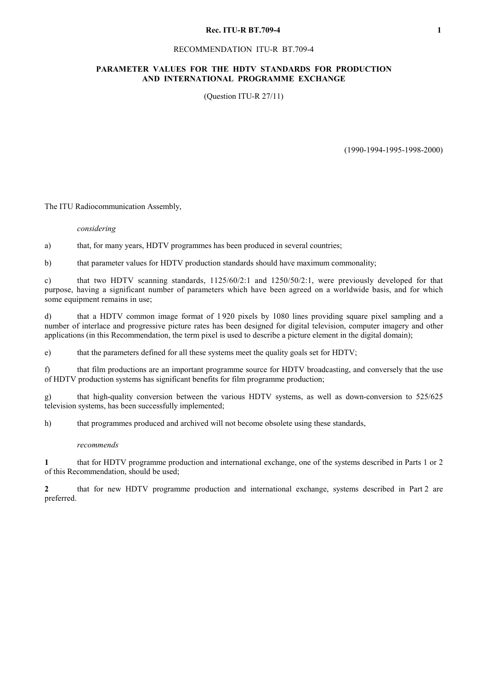#### **Rec. ITU-R BT.709-4** 1

#### RECOMMENDATION ITU-R BT.709-4

## **PARAMETER VALUES FOR THE HDTV STANDARDS FOR PRODUCTION AND INTERNATIONAL PROGRAMME EXCHANGE**

(Question ITU-R 27/11)

(1990-1994-1995-1998-2000)

The ITU Radiocommunication Assembly,

*considering* 

a) that, for many years, HDTV programmes has been produced in several countries;

b) that parameter values for HDTV production standards should have maximum commonality;

c) that two HDTV scanning standards, 1125/60/2:1 and 1250/50/2:1, were previously developed for that purpose, having a significant number of parameters which have been agreed on a worldwide basis, and for which some equipment remains in use;

d) that a HDTV common image format of 1 920 pixels by 1080 lines providing square pixel sampling and a number of interlace and progressive picture rates has been designed for digital television, computer imagery and other applications (in this Recommendation, the term pixel is used to describe a picture element in the digital domain);

e) that the parameters defined for all these systems meet the quality goals set for HDTV;

f) that film productions are an important programme source for HDTV broadcasting, and conversely that the use of HDTV production systems has significant benefits for film programme production;

g) that high-quality conversion between the various HDTV systems, as well as down-conversion to 525/625 television systems, has been successfully implemented;

h) that programmes produced and archived will not become obsolete using these standards,

## *recommends*

**1** that for HDTV programme production and international exchange, one of the systems described in Parts 1 or 2 of this Recommendation, should be used;

**2** that for new HDTV programme production and international exchange, systems described in Part 2 are preferred.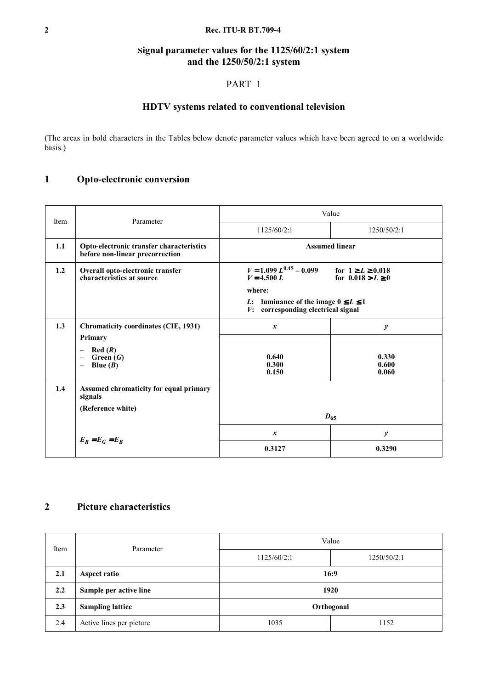## **2 Rec. ITU-R BT.709-4**

# **Signal parameter values for the 1125/60/2:1 system and the 1250/50/2:1 system**

# PART 1

# **HDTV systems related to conventional television**

(The areas in bold characters in the Tables below denote parameter values which have been agreed to on a worldwide basis.)

# **1 Opto-electronic conversion**

| Item | Parameter                                                                   | Value                                                                                              |                                                  |  |  |
|------|-----------------------------------------------------------------------------|----------------------------------------------------------------------------------------------------|--------------------------------------------------|--|--|
|      |                                                                             | 1125/60/2:1                                                                                        | 1250/50/2:1                                      |  |  |
| 1.1  | Opto-electronic transfer characteristics<br>before non-linear precorrection | <b>Assumed linear</b>                                                                              |                                                  |  |  |
| 1.2  | Overall opto-electronic transfer<br>characteristics at source               | $V = 1.099 L^{0.45} - 0.099$<br>$V = 4.500 L$                                                      | for $1 \ge L \ge 0.018$<br>for $0.018 > L \ge 0$ |  |  |
|      |                                                                             | where:                                                                                             |                                                  |  |  |
|      |                                                                             | <i>L</i> : luminance of the image $0 \le L \le 1$<br><i>V</i> :<br>corresponding electrical signal |                                                  |  |  |
| 1.3  | <b>Chromaticity coordinates (CIE, 1931)</b>                                 | $\mathbf{x}$                                                                                       | $\mathbf{y}$                                     |  |  |
|      | Primary                                                                     |                                                                                                    |                                                  |  |  |
|      | Red(R)<br>Green $(G)$                                                       | 0.640                                                                                              | 0.330                                            |  |  |
|      | Blue $(B)$                                                                  | 0.300                                                                                              | 0.600                                            |  |  |
|      |                                                                             | 0.150                                                                                              | 0.060                                            |  |  |
| 1.4  | Assumed chromaticity for equal primary<br>signals                           |                                                                                                    |                                                  |  |  |
|      | (Reference white)                                                           |                                                                                                    |                                                  |  |  |
|      |                                                                             | $D_{65}$                                                                                           |                                                  |  |  |
|      | $E_R = E_G = E_B$                                                           | $\boldsymbol{x}$                                                                                   | $\boldsymbol{y}$                                 |  |  |
|      |                                                                             | 0.3127                                                                                             | 0.3290                                           |  |  |

# **2 Picture characteristics**

| Item | Parameter                | Value        |             |  |  |
|------|--------------------------|--------------|-------------|--|--|
|      |                          | 1125/60/2:1  | 1250/50/2:1 |  |  |
| 2.1  | Aspect ratio             | 16:9         |             |  |  |
| 2.2  | Sample per active line   | 1920         |             |  |  |
| 2.3  | <b>Sampling lattice</b>  | Orthogonal   |             |  |  |
| 2.4  | Active lines per picture | 1152<br>1035 |             |  |  |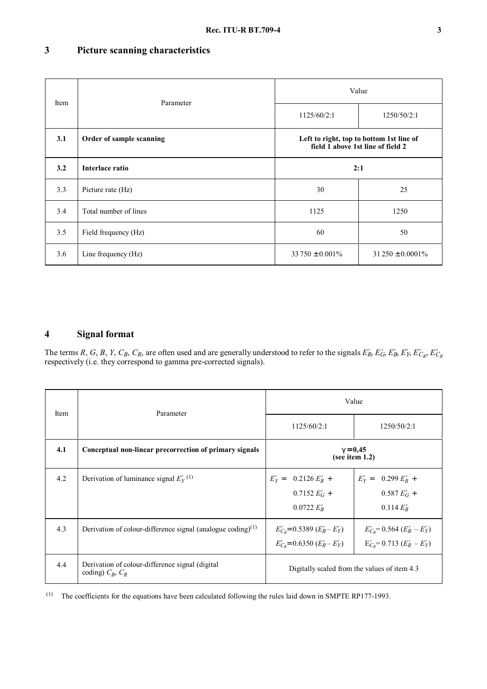# **3 Picture scanning characteristics**

| Item | Parameter                | Value                                                                         |                        |  |  |
|------|--------------------------|-------------------------------------------------------------------------------|------------------------|--|--|
|      |                          | 1125/60/2:1                                                                   | 1250/50/2:1            |  |  |
| 3.1  | Order of sample scanning | Left to right, top to bottom 1st line of<br>field 1 above 1st line of field 2 |                        |  |  |
| 3.2  | Interlace ratio          | 2:1                                                                           |                        |  |  |
| 3.3  | Picture rate (Hz)        | 30<br>25                                                                      |                        |  |  |
| 3.4  | Total number of lines    | 1125<br>1250                                                                  |                        |  |  |
| 3.5  | Field frequency (Hz)     | 50<br>60                                                                      |                        |  |  |
| 3.6  | Line frequency (Hz)      | $33750 \pm 0.001\%$                                                           | $31\,250 \pm 0.0001\%$ |  |  |

# **4 Signal format**

The terms R, G, B, Y, C<sub>B</sub>, C<sub>R</sub>, are often used and are generally understood to refer to the signals  $E'_R$ ,  $E'_G$ ,  $E'_B$ ,  $E'_Y$ ,  $E'_{C_B}$ ,  $E'_{C_R}$ respectively (i.e. they correspond to gamma pre-corrected signals).

| Item | Parameter                                                                 | Value                                                                              |                                                                                  |  |  |
|------|---------------------------------------------------------------------------|------------------------------------------------------------------------------------|----------------------------------------------------------------------------------|--|--|
|      |                                                                           | 1125/60/2:1                                                                        | 1250/50/2:1                                                                      |  |  |
| 4.1  | Conceptual non-linear precorrection of primary signals                    | $\gamma = 0,45$<br>(see item 1.2)                                                  |                                                                                  |  |  |
| 4.2  | Derivation of luminance signal $E_Y^{(1)}$                                | $0.2126 E_R'$ +<br>$E'_Y =$<br>$0.7152 E'_G +$<br>$0.0722 E'_{B}$                  | $E'_Y = 0.299 E'_R +$<br>$0.587 EG +$<br>0.114 $E'_R$                            |  |  |
| 4.3  | Derivation of colour-difference signal (analogue coding) $(1)$            | $E'_{C_B}$ = 0.5389 ( $E'_B$ – $E'_Y$ )<br>$E'_{C_P}$ = 0.6350 ( $E'_R$ – $E'_Y$ ) | $E'_{C_B}$ = 0.564 ( $E'_B$ – $E'_Y$ )<br>$E'_{C_p}$ = 0.713 ( $E'_R$ – $E'_Y$ ) |  |  |
| 4.4  | Derivation of colour-difference signal (digital)<br>coding) $C_R$ , $C_R$ |                                                                                    | Digitally scaled from the values of item 4.3                                     |  |  |

(1) The coefficients for the equations have been calculated following the rules laid down in SMPTE RP177-1993.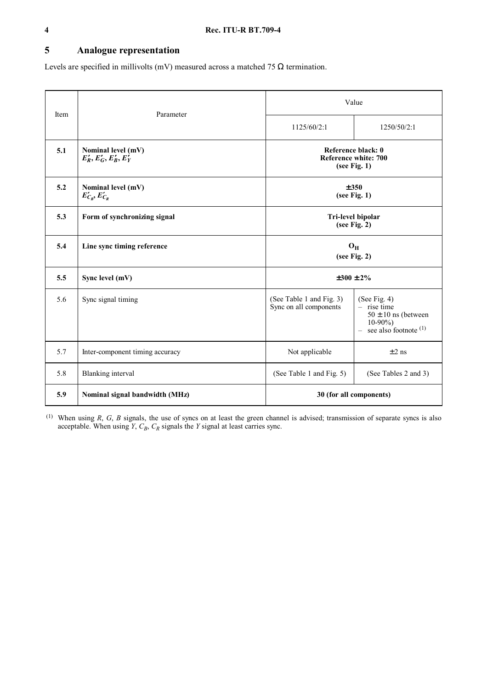# **5 Analogue representation**

Levels are specified in millivolts (mV) measured across a matched 75  $\Omega$  termination.

|      |                                            | Value                                                      |                                                                                                         |  |  |
|------|--------------------------------------------|------------------------------------------------------------|---------------------------------------------------------------------------------------------------------|--|--|
| Item | Parameter                                  | 1125/60/2:1                                                | 1250/50/2:1                                                                                             |  |  |
| 5.1  | Nominal level (mV)<br>$E_R, E_G, E_B, E_Y$ | Reference black: 0<br>Reference white: 700<br>(see Fig. 1) |                                                                                                         |  |  |
| 5.2  | Nominal level (mV)<br>$E'_{C_R}, E'_{C_R}$ | ±350<br>(see Fig. 1)                                       |                                                                                                         |  |  |
| 5.3  | Form of synchronizing signal               | <b>Tri-level bipolar</b><br>(see Fig. 2)                   |                                                                                                         |  |  |
| 5.4  | Line sync timing reference                 | $O_{H}$<br>(see Fig. 2)                                    |                                                                                                         |  |  |
| 5.5  | Sync level (mV)                            | $\pm 300 \pm 2\%$                                          |                                                                                                         |  |  |
| 5.6  | Sync signal timing                         | (See Table 1 and Fig. 3)<br>Sync on all components         | (See Fig. $4$ )<br>$-$ rise time<br>$50 \pm 10$ ns (between<br>$10-90\%$<br>$-$ see also footnote $(1)$ |  |  |
| 5.7  | Inter-component timing accuracy            | Not applicable<br>$\pm 2$ ns                               |                                                                                                         |  |  |
| 5.8  | Blanking interval                          | (See Table 1 and Fig. 5)<br>(See Tables 2 and 3)           |                                                                                                         |  |  |
| 5.9  | Nominal signal bandwidth (MHz)             | 30 (for all components)                                    |                                                                                                         |  |  |

 $(1)$  When using *R*, *G*, *B* signals, the use of syncs on at least the green channel is advised; transmission of separate syncs is also acceptable. When using *Y*,  $C_B$ ,  $C_R$  signals the *Y* signal at least carries sync.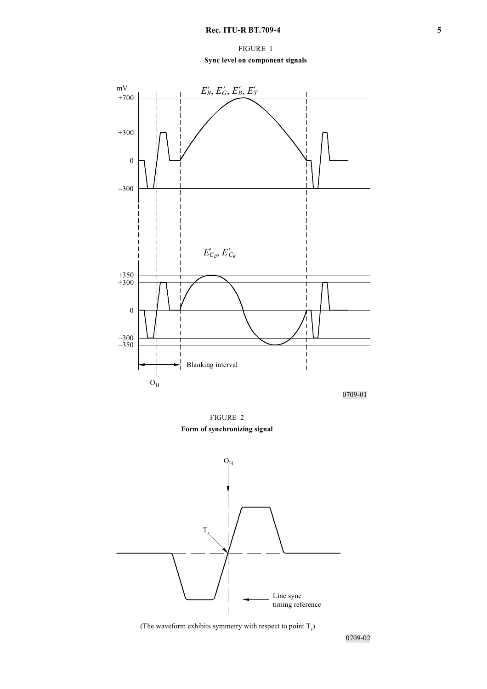FIGURE 1 **Sync level on component signals**



0709-01

FIGURE 2 **Form of synchronizing signal**



(The waveform exhibits symmetry with respect to point  $T_r$ )

0709-02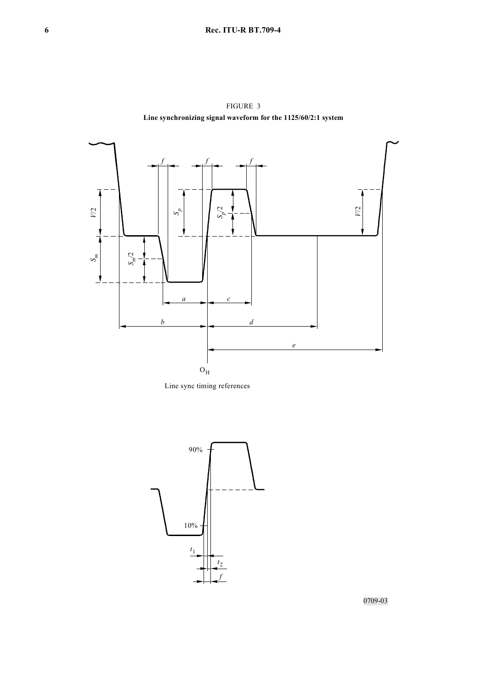

FIGURE 3 **Line synchronizing signal waveform for the 1125/60/2:1 system**

Line sync timing references



0709-03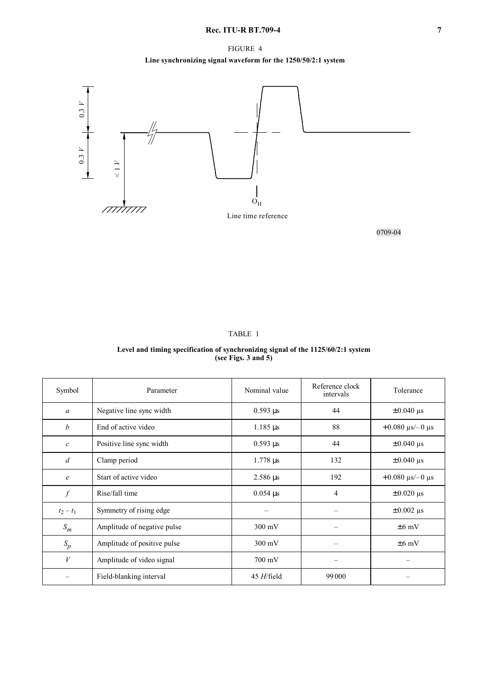## FIGURE 4

# **Line synchronizing signal waveform for the 1250/50/2:1 system**



0709-04

## TABLE 1

#### **Level and timing specification of synchronizing signal of the 1125/60/2:1 system (see Figs. 3 and 5)**

| Symbol           | Parameter                   | Nominal value            | Reference clock<br>intervals | Tolerance                                           |
|------------------|-----------------------------|--------------------------|------------------------------|-----------------------------------------------------|
| $\boldsymbol{a}$ | Negative line sync width    | $0.593 \,\mu s$          | 44                           | $\pm 0.040$ $\mu$ s                                 |
| $\boldsymbol{b}$ | End of active video         | $1.185 \,\mu s$          | 88                           | $+0.080 \text{ }\mu\text{s}/-0 \text{ }\mu\text{s}$ |
| $\mathcal{C}$    | Positive line sync width    | $0.593 \,\mu s$          | 44                           | $\pm 0.040$ µs                                      |
| $\overline{d}$   | Clamp period                | $1.778 \,\mu s$          | 132                          | $\pm 0.040$ µs                                      |
| $\epsilon$       | Start of active video       | $2.586 \,\mu s$          | 192                          | $+0.080 \text{ }\mu\text{s}/-0 \text{ }\mu\text{s}$ |
| $\int$           | Rise/fall time              | $0.054 \,\mathrm{\mu s}$ | $\overline{4}$               | $\pm 0.020 \,\mu s$                                 |
| $t_2 - t_1$      | Symmetry of rising edge     |                          |                              | $\pm 0.002$ µs                                      |
| $S_m$            | Amplitude of negative pulse | $300 \text{ mV}$         |                              | $\pm 6$ mV                                          |
| $S_p$            | Amplitude of positive pulse | $300 \text{ mV}$         | -                            | $\pm 6$ mV                                          |
| V                | Amplitude of video signal   | $700 \text{ mV}$         | $\overline{\phantom{0}}$     |                                                     |
|                  | Field-blanking interval     | $45$ H/field             | 99 000                       |                                                     |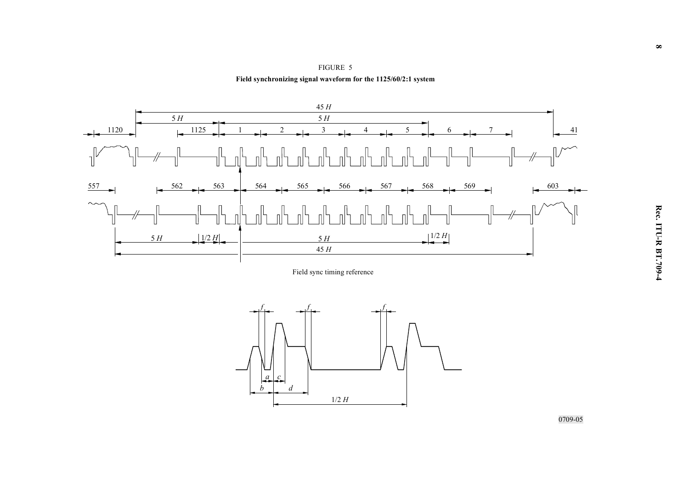



Field sync timing reference



0709-05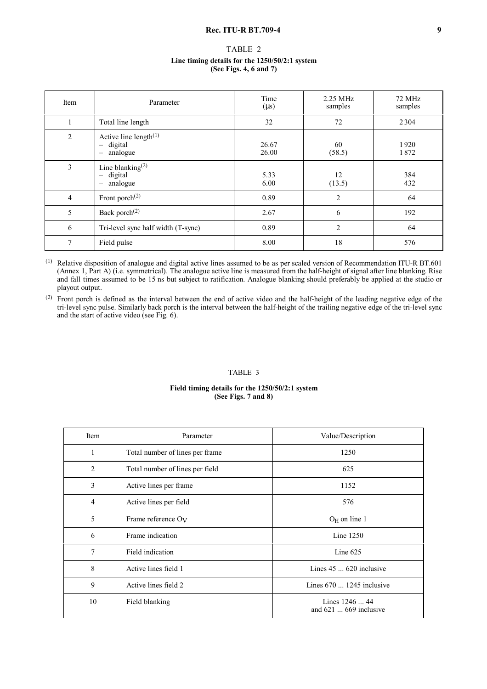#### **Rec. ITU-R BT.709-4** 9

| TABLE 2                                        |  |
|------------------------------------------------|--|
| Line timing details for the 1250/50/2:1 system |  |
| (See Figs. 4, 6 and 7)                         |  |

| Item           | Parameter                                                                                               | Time<br>$(\mu s)$ | 2.25 MHz<br>samples | 72 MHz<br>samples |  |
|----------------|---------------------------------------------------------------------------------------------------------|-------------------|---------------------|-------------------|--|
|                | Total line length                                                                                       | 32                | 72                  | 2304              |  |
| 2              | Active line length $(1)$<br>digital<br>$\overline{\phantom{m}}$<br>analogue<br>$\overline{\phantom{m}}$ | 26.67<br>26.00    | 60<br>(58.5)        | 1920<br>1872      |  |
| 3              | Line blanking $(2)$<br>digital<br>$\qquad \qquad -$<br>analogue<br>$\overline{\phantom{0}}$             | 5.33<br>6.00      | 12<br>(13.5)        | 384<br>432        |  |
| $\overline{4}$ | Front porch $^{(2)}$                                                                                    | 0.89              | $\overline{c}$      | 64                |  |
| 5              | Back porch $^{(2)}$                                                                                     | 2.67              | 6                   | 192               |  |
| 6              | Tri-level sync half width (T-sync)                                                                      | 0.89              | $\overline{c}$      | 64                |  |
| 7              | Field pulse                                                                                             | 8.00              | 18                  | 576               |  |

(1) Relative disposition of analogue and digital active lines assumed to be as per scaled version of Recommendation ITU-R BT.601 (Annex 1, Part A) (i.e. symmetrical). The analogue active line is measured from the half-height of signal after line blanking. Rise and fall times assumed to be 15 ns but subject to ratification. Analogue blanking should preferably be applied at the studio or playout output.

(2) Front porch is defined as the interval between the end of active video and the half-height of the leading negative edge of the tri-level sync pulse. Similarly back porch is the interval between the half-height of the trailing negative edge of the tri-level sync and the start of active video (see Fig.  $6$ ).

#### TABLE 3

#### **Field timing details for the 1250/50/2:1 system (See Figs. 7 and 8)**

| Item           | Parameter                       | Value/Description                               |
|----------------|---------------------------------|-------------------------------------------------|
| 1              | Total number of lines per frame | 1250                                            |
| 2              | Total number of lines per field | 625                                             |
| 3              | Active lines per frame          | 1152                                            |
| $\overline{4}$ | Active lines per field          | 576                                             |
| 5              | Frame reference $O_V$           | $O_H$ on line 1                                 |
| 6              | Frame indication                | Line 1250                                       |
| 7              | Field indication                | Line $625$                                      |
| 8              | Active lines field 1            | Lines $45 \dots 620$ inclusive                  |
| 9              | Active lines field 2            | Lines $670$ 1245 inclusive                      |
| 10             | Field blanking                  | Lines 1246  44<br>and $621 \dots 669$ inclusive |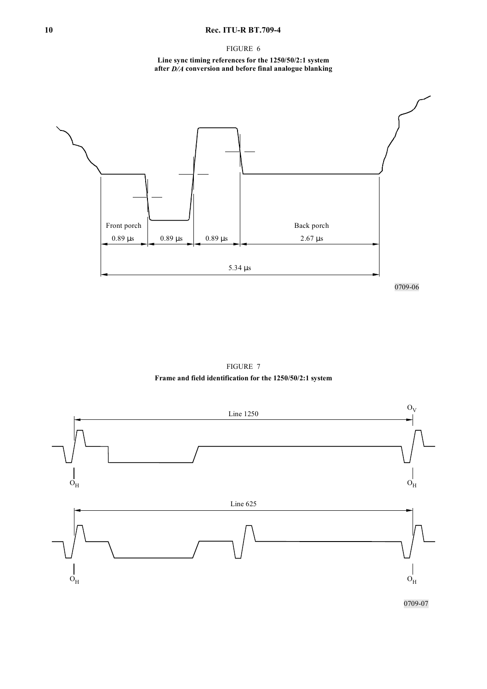## **10 Rec. ITU-R BT.709-4**

FIGURE 6

#### **Line sync timing references for the 1250/50/2:1 system after** *D/A* **conversion and before final analogue blanking**



FIGURE 7 **Frame and field identification for the 1250/50/2:1 system**

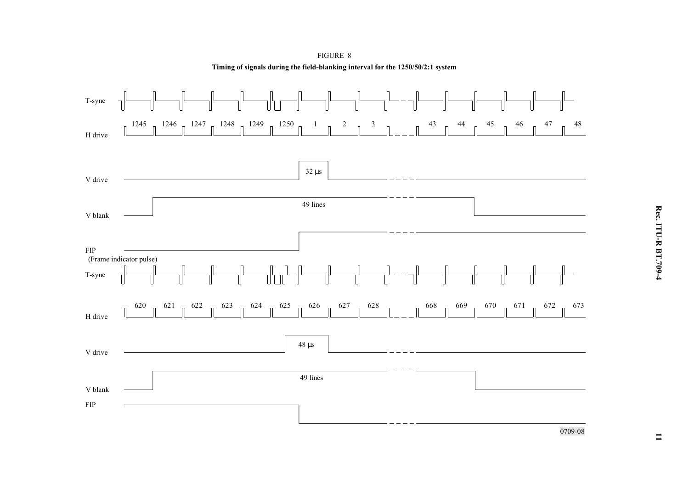

FIGURE 8 **Timing of signals during the field-blanking interval for the 1250/50/2:1 system**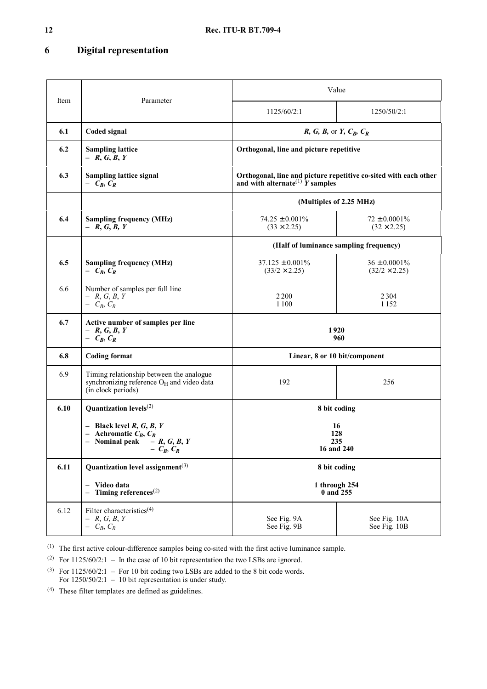# **6 Digital representation**

|      |                                                                                                                         | Value                                                                                                                   |                                           |  |  |  |
|------|-------------------------------------------------------------------------------------------------------------------------|-------------------------------------------------------------------------------------------------------------------------|-------------------------------------------|--|--|--|
| Item | Parameter                                                                                                               | 1125/60/2:1                                                                                                             | 1250/50/2:1                               |  |  |  |
| 6.1  | Coded signal                                                                                                            | $R, G, B$ , or $Y, C_B, C_R$                                                                                            |                                           |  |  |  |
| 6.2  | <b>Sampling lattice</b><br>$- R, G, B, Y$                                                                               | Orthogonal, line and picture repetitive                                                                                 |                                           |  |  |  |
| 6.3  | <b>Sampling lattice signal</b><br>$- C_B, C_R$                                                                          | Orthogonal, line and picture repetitive co-sited with each other<br>and with alternate <sup>(1)</sup> $\hat{Y}$ samples |                                           |  |  |  |
|      |                                                                                                                         | (Multiples of 2.25 MHz)                                                                                                 |                                           |  |  |  |
| 6.4  | <b>Sampling frequency (MHz)</b><br>$- R, G, B, Y$                                                                       | $74.25 \pm 0.001\%$<br>$(33 \times 2.25)$                                                                               | $72 \pm 0.0001\%$<br>$(32 \times 2.25)$   |  |  |  |
|      |                                                                                                                         | (Half of luminance sampling frequency)                                                                                  |                                           |  |  |  |
| 6.5  | <b>Sampling frequency (MHz)</b><br>$- C_R, C_R$                                                                         | $37.125 \pm 0.001\%$<br>$(33/2 \times 2.25)$                                                                            | $36 \pm 0.0001\%$<br>$(32/2 \times 2.25)$ |  |  |  |
| 6.6  | Number of samples per full line<br>$- R, G, B, Y$<br>$- C_R, C_R$                                                       | 2 2 0 0<br>1 1 0 0                                                                                                      | 2304<br>1 1 5 2                           |  |  |  |
| 6.7  | Active number of samples per line<br>$- R, G, B, Y$<br>$- C_B, C_R$                                                     | 1920<br>960                                                                                                             |                                           |  |  |  |
| 6.8  | <b>Coding format</b>                                                                                                    |                                                                                                                         | Linear, 8 or 10 bit/component             |  |  |  |
| 6.9  | Timing relationship between the analogue<br>synchronizing reference O <sub>H</sub> and video data<br>(in clock periods) | 192                                                                                                                     | 256                                       |  |  |  |
| 6.10 | Quantization levels <sup>(2)</sup>                                                                                      |                                                                                                                         | 8 bit coding                              |  |  |  |
|      | - Black level $R, G, B, Y$<br>- Achromatic $C_B, C_R$<br>- Nominal peak $- R, G, B, Y$<br>$- C_B, C_R$                  | 16<br>128<br>235<br>16 and 240                                                                                          |                                           |  |  |  |
| 6.11 | Quantization level assignment <sup>(3)</sup>                                                                            |                                                                                                                         | 8 bit coding                              |  |  |  |
|      | - Video data<br>- Timing references $^{(2)}$                                                                            | 1 through 254<br>0 and 255                                                                                              |                                           |  |  |  |
| 6.12 | Filter characteristics <sup>(4)</sup><br>$- R, G, B, Y$<br>$- C_B, C_R$                                                 | See Fig. 9A<br>See Fig. 9B                                                                                              | See Fig. 10A<br>See Fig. 10B              |  |  |  |

(1) The first active colour-difference samples being co-sited with the first active luminance sample.

(2) For  $1125/60/2:1$  – In the case of 10 bit representation the two LSBs are ignored.

<sup>(3)</sup> For  $1125/60/2:1$  – For 10 bit coding two LSBs are added to the 8 bit code words. For 1250/50/2:1 – 10 bit representation is under study.

(4) These filter templates are defined as guidelines.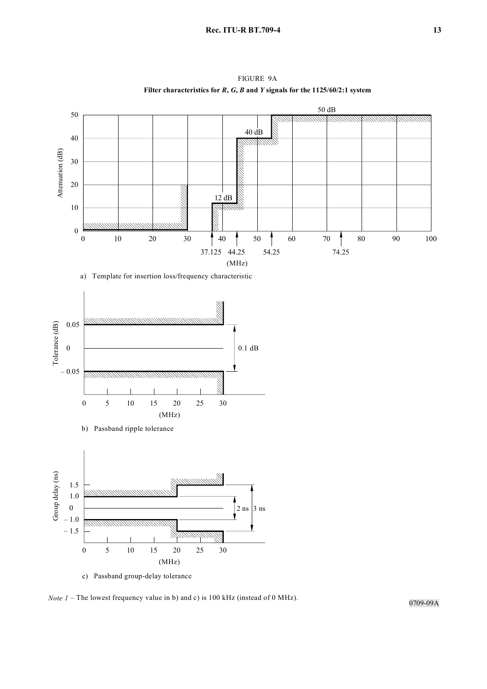

FIGURE 9A



b) Passband ripple tolerance



c) Passband group-delay tolerance

*Note 1* – The lowest frequency value in b) and c) is 100 kHz (instead of 0 MHz).

0709-09A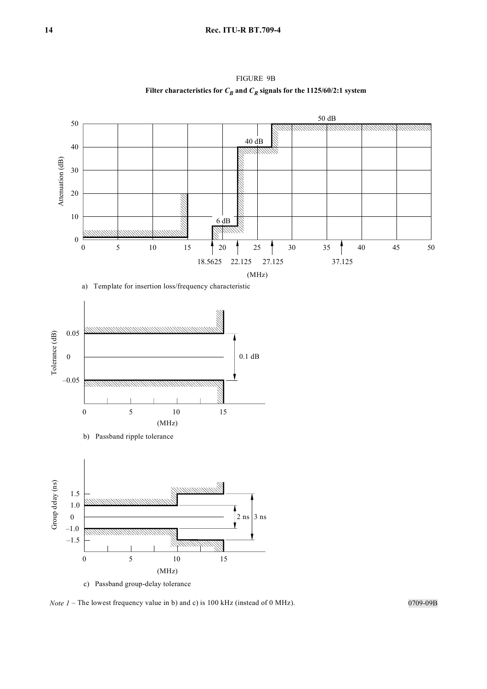50 dB 50 *MMMMM 999999999 1111111111* 40 dB 40 Attenuation (dB) Attenuation (dB) 30 20 10 6 dB 0 0 5 10 15  $\uparrow$  20  $\uparrow$  25  $\uparrow$  30 35  $\uparrow$  40 45 50 18.5625 22.125 27.125 37.125 (MHz)

FIGURE 9B Filter characteristics for  $C_B$  and  $C_R$  signals for the 1125/60/2:1 system



b) Passband ripple tolerance



c) Passband group-delay tolerance

*Note 1* – The lowest frequency value in b) and c) is 100 kHz (instead of 0 MHz).

0709-09B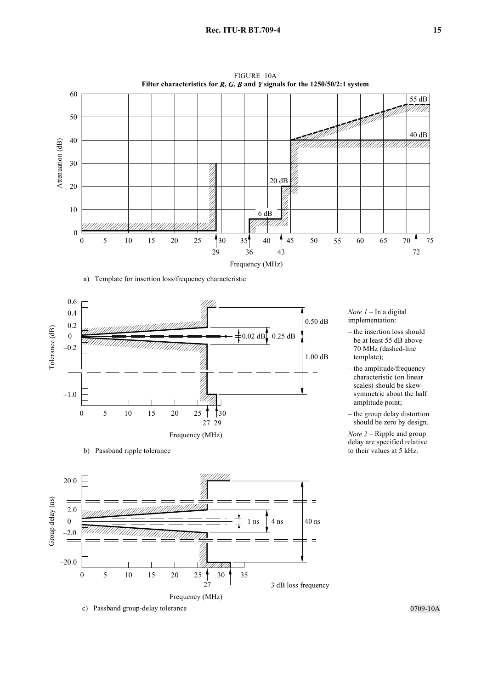

FIGURE 10A



b) Passband ripple tolerance



*Note 1* – In a digital implementation:

- the insertion loss should be at least 55 dB above 70 MHz (dashed-line template);
- the amplitude/frequency – characteristic (on linear scales) should be skewsymmetric about the half amplitude point;
- the group delay distortion should be zero by design.

*Note 2* – Ripple and group delay are specified relative to their values at 5 kHz.

0709-10A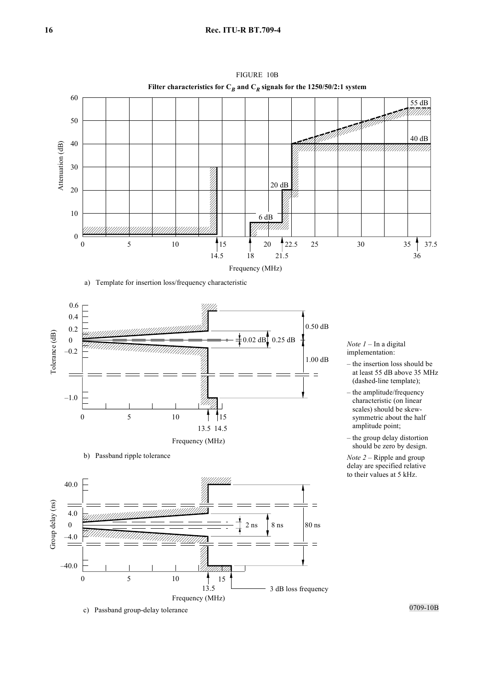

FIGURE 10B



b) Passband ripple tolerance



*Note 1* – In a digital implementation:

- the insertion loss should be – at least 55 dB above 35 MHz (dashed-line template);
- the amplitude/frequency – characteristic (on linear scales) should be skewsymmetric about the half – amplitude point;
- the group delay distortion should be zero by design.

*Note 2* – Ripple and group delay are specified relative to their values at 5 kHz.

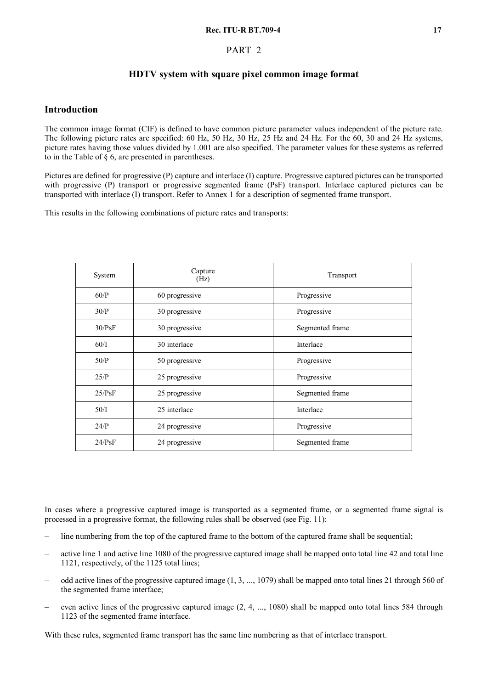## PART 2

# **HDTV system with square pixel common image format**

## **Introduction**

The common image format (CIF) is defined to have common picture parameter values independent of the picture rate. The following picture rates are specified: 60 Hz, 50 Hz, 30 Hz, 25 Hz and 24 Hz. For the 60, 30 and 24 Hz systems, picture rates having those values divided by 1.001 are also specified. The parameter values for these systems as referred to in the Table of § 6, are presented in parentheses.

Pictures are defined for progressive (P) capture and interlace (I) capture. Progressive captured pictures can be transported with progressive (P) transport or progressive segmented frame (PsF) transport. Interlace captured pictures can be transported with interlace (I) transport. Refer to Annex 1 for a description of segmented frame transport.

This results in the following combinations of picture rates and transports:

| System | Capture<br>(Hz) | Transport       |  |  |
|--------|-----------------|-----------------|--|--|
| 60/P   | 60 progressive  | Progressive     |  |  |
| 30/P   | 30 progressive  | Progressive     |  |  |
| 30/PsF | 30 progressive  | Segmented frame |  |  |
| 60/I   | 30 interlace    | Interlace       |  |  |
| 50/P   | 50 progressive  | Progressive     |  |  |
| 25/P   | 25 progressive  | Progressive     |  |  |
| 25/PsF | 25 progressive  | Segmented frame |  |  |
| 50/I   | 25 interlace    | Interlace       |  |  |
| 24/P   | 24 progressive  | Progressive     |  |  |
| 24/PsF | 24 progressive  | Segmented frame |  |  |

In cases where a progressive captured image is transported as a segmented frame, or a segmented frame signal is processed in a progressive format, the following rules shall be observed (see Fig. 11):

- line numbering from the top of the captured frame to the bottom of the captured frame shall be sequential;
- active line 1 and active line 1080 of the progressive captured image shall be mapped onto total line 42 and total line 1121, respectively, of the 1125 total lines;
- odd active lines of the progressive captured image (1, 3, ..., 1079) shall be mapped onto total lines 21 through 560 of the segmented frame interface;
- even active lines of the progressive captured image (2, 4, ..., 1080) shall be mapped onto total lines 584 through 1123 of the segmented frame interface.

With these rules, segmented frame transport has the same line numbering as that of interlace transport.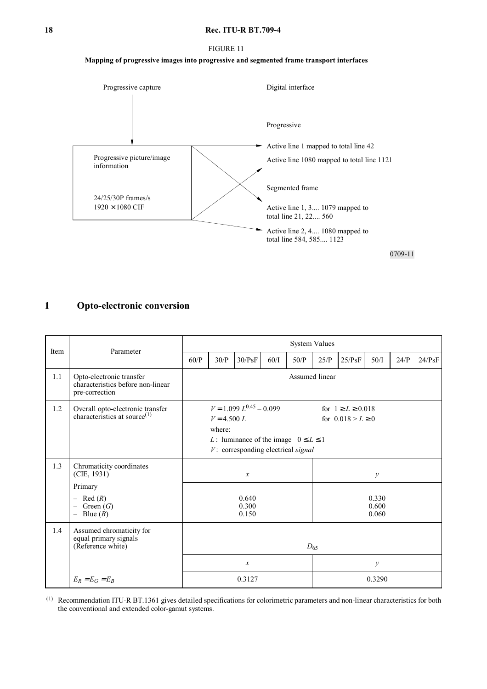#### **18 Rec. ITU-R BT.709-4**

#### FIGURE 11

## **Mapping of progressive images into progressive and segmented frame transport interfaces**



# **1 Opto-electronic conversion**

| Item | Parameter                                                                                                     |               |                                                                                                                                                                                                   |                  |      |                         | <b>System Values</b> |        |               |      |        |
|------|---------------------------------------------------------------------------------------------------------------|---------------|---------------------------------------------------------------------------------------------------------------------------------------------------------------------------------------------------|------------------|------|-------------------------|----------------------|--------|---------------|------|--------|
|      |                                                                                                               | 60/P          | 30/P                                                                                                                                                                                              | 30/PsF           | 60/I | 50/P                    | 25/P                 | 25/PsF | 50/I          | 24/P | 24/PsF |
| 1.1  | Opto-electronic transfer<br>characteristics before non-linear<br>pre-correction                               |               | Assumed linear                                                                                                                                                                                    |                  |      |                         |                      |        |               |      |        |
| 1.2  | Overall opto-electronic transfer<br>characteristics at source $(1)$                                           |               | $V = 1.099 L^{0.45} - 0.099$<br>for $1 \ge L \ge 0.018$<br>for $0.018 > L \ge 0$<br>$V = 4.500 L$<br>where:<br>L: luminance of the image $0 \le L \le 1$<br>$V$ : corresponding electrical signal |                  |      |                         |                      |        |               |      |        |
| 1.3  | Chromaticity coordinates<br>(CIE, 1931)                                                                       | $\mathcal{X}$ |                                                                                                                                                                                                   |                  |      | $\mathcal{Y}$           |                      |        |               |      |        |
|      | Primary<br>$-$ Red $(R)$<br>Green $(G)$<br>$\overline{\phantom{0}}$<br>Blue $(B)$<br>$\overline{\phantom{0}}$ |               | 0.640<br>0.300<br>0.150                                                                                                                                                                           |                  |      | 0.330<br>0.600<br>0.060 |                      |        |               |      |        |
| 1.4  | Assumed chromaticity for<br>equal primary signals<br>(Reference white)                                        | $D_{65}$      |                                                                                                                                                                                                   |                  |      |                         |                      |        |               |      |        |
|      |                                                                                                               |               |                                                                                                                                                                                                   | $\boldsymbol{x}$ |      |                         |                      |        | $\mathcal{Y}$ |      |        |
|      | $E_R = E_G = E_R$                                                                                             |               |                                                                                                                                                                                                   | 0.3127           |      |                         | 0.3290               |        |               |      |        |

(1) Recommendation ITU-R BT.1361 gives detailed specifications for colorimetric parameters and non-linear characteristics for both the conventional and extended color-gamut systems.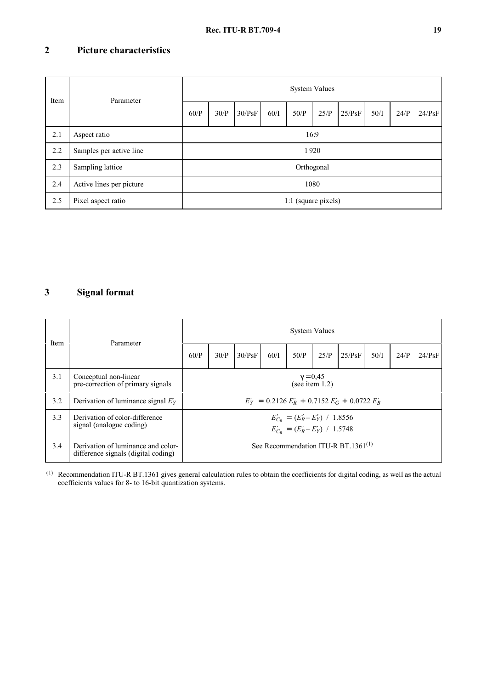# **2 Picture characteristics**

| Item | Parameter                | <b>System Values</b> |      |        |      |                     |      |        |      |      |        |  |  |
|------|--------------------------|----------------------|------|--------|------|---------------------|------|--------|------|------|--------|--|--|
|      |                          | 60/P                 | 30/P | 30/PsF | 60/I | 50/P                | 25/P | 25/PsF | 50/I | 24/P | 24/PsF |  |  |
| 2.1  | Aspect ratio             | 16:9                 |      |        |      |                     |      |        |      |      |        |  |  |
| 2.2  | Samples per active line  | 1920                 |      |        |      |                     |      |        |      |      |        |  |  |
| 2.3  | Sampling lattice         |                      |      |        |      | Orthogonal          |      |        |      |      |        |  |  |
| 2.4  | Active lines per picture |                      |      |        |      |                     | 1080 |        |      |      |        |  |  |
| 2.5  | Pixel aspect ratio       |                      |      |        |      | 1:1 (square pixels) |      |        |      |      |        |  |  |

# **3 Signal format**

| Item | Parameter                                                                 | <b>System Values</b>                 |                                                                            |        |      |      |      |                                           |      |      |        |  |  |
|------|---------------------------------------------------------------------------|--------------------------------------|----------------------------------------------------------------------------|--------|------|------|------|-------------------------------------------|------|------|--------|--|--|
|      |                                                                           | 60/P                                 | 30/P                                                                       | 30/PsF | 60/I | 50/P | 25/P | 25/PsF                                    | 50/I | 24/P | 24/PsF |  |  |
| 3.1  | Conceptual non-linear<br>pre-correction of primary signals                | $\gamma = 0.45$<br>(see item $1.2$ ) |                                                                            |        |      |      |      |                                           |      |      |        |  |  |
| 3.2  | Derivation of luminance signal $E'_Y$                                     |                                      | $E'_Y = 0.2126 E'_R + 0.7152 E'_G + 0.0722 E'_R$                           |        |      |      |      |                                           |      |      |        |  |  |
| 3.3  | Derivation of color-difference<br>signal (analogue coding)                |                                      | $E'_{C_B} = (E'_B - E'_Y) / 1.8556$<br>$E'_{C_R} = (E'_R - E'_Y) / 1.5748$ |        |      |      |      |                                           |      |      |        |  |  |
| 3.4  | Derivation of luminance and color-<br>difference signals (digital coding) |                                      |                                                                            |        |      |      |      | See Recommendation ITU-R BT.1361 $^{(1)}$ |      |      |        |  |  |

 $<sup>(1)</sup>$  Recommendation ITU-R BT.1361 gives general calculation rules to obtain the coefficients for digital coding, as well as the actual</sup> coefficients values for 8- to 16-bit quantization systems.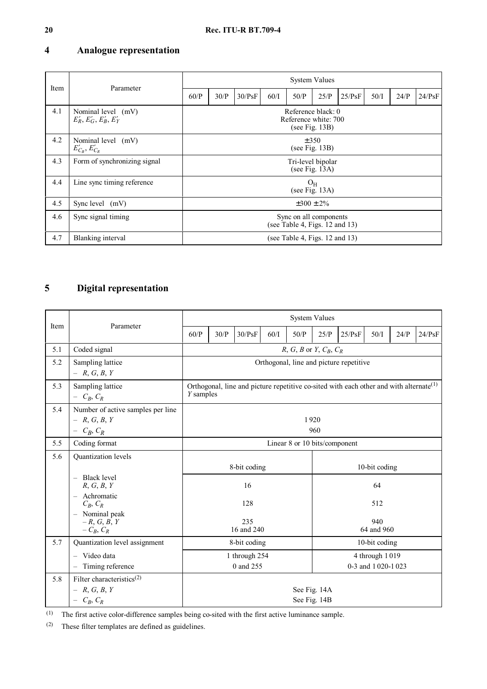# **4 Analogue representation**

| Item | Parameter                                      |                                                              |                                                               |        |      | <b>System Values</b>                |                   |        |      |      |        |  |  |
|------|------------------------------------------------|--------------------------------------------------------------|---------------------------------------------------------------|--------|------|-------------------------------------|-------------------|--------|------|------|--------|--|--|
|      |                                                | 60/P                                                         | 30/P                                                          | 30/PsF | 60/I | 50/P                                | 25/P              | 25/PsF | 50/I | 24/P | 24/PsF |  |  |
| 4.1  | Nominal level (mV)<br>$E'_R, E'_G, E'_B, E'_Y$ | Reference black: 0<br>Reference white: 700<br>(see Fig. 13B) |                                                               |        |      |                                     |                   |        |      |      |        |  |  |
| 4.2  | Nominal level (mV)<br>$E'_{C_R}, E'_{C_R}$     | $\pm$ 350<br>(see Fig. $13B$ )                               |                                                               |        |      |                                     |                   |        |      |      |        |  |  |
| 4.3  | Form of synchronizing signal                   | Tri-level bipolar<br>(see Fig. $13A$ )                       |                                                               |        |      |                                     |                   |        |      |      |        |  |  |
| 4.4  | Line sync timing reference                     | $O_{H}$<br>(see Fig. $13A$ )                                 |                                                               |        |      |                                     |                   |        |      |      |        |  |  |
| 4.5  | Sync level (mV)                                |                                                              |                                                               |        |      |                                     | $\pm 300 \pm 2\%$ |        |      |      |        |  |  |
| 4.6  | Sync signal timing                             |                                                              | Sync on all components<br>(see Table 4, Figs. $12$ and $13$ ) |        |      |                                     |                   |        |      |      |        |  |  |
| 4.7  | Blanking interval                              |                                                              |                                                               |        |      | (see Table 4, Figs. $12$ and $13$ ) |                   |        |      |      |        |  |  |

# **5 Digital representation**

| Item | Parameter                                                                              |                                                                                                                                | <b>System Values</b> |                            |      |                               |      |        |                                     |      |        |  |  |
|------|----------------------------------------------------------------------------------------|--------------------------------------------------------------------------------------------------------------------------------|----------------------|----------------------------|------|-------------------------------|------|--------|-------------------------------------|------|--------|--|--|
|      |                                                                                        | 60/P                                                                                                                           | 30/P                 | 30/PsF                     | 60/I | 50/P                          | 25/P | 25/PsF | 50/I                                | 24/P | 24/PsF |  |  |
| 5.1  | Coded signal                                                                           | R, G, B or Y, $C_B$ , $C_R$                                                                                                    |                      |                            |      |                               |      |        |                                     |      |        |  |  |
| 5.2  | Sampling lattice<br>$- R, G, B, Y$                                                     | Orthogonal, line and picture repetitive                                                                                        |                      |                            |      |                               |      |        |                                     |      |        |  |  |
| 5.3  | Sampling lattice<br>$- C_R, C_R$                                                       | Orthogonal, line and picture repetitive co-sited with each other and with alternate <sup><math>(1)</math></sup><br>$Y$ samples |                      |                            |      |                               |      |        |                                     |      |        |  |  |
| 5.4  | Number of active samples per line<br>$- R, G, B, Y$<br>$- C_B, C_R$                    | 1920<br>960                                                                                                                    |                      |                            |      |                               |      |        |                                     |      |        |  |  |
| 5.5  | Coding format                                                                          |                                                                                                                                |                      |                            |      | Linear 8 or 10 bits/component |      |        |                                     |      |        |  |  |
| 5.6  | Quantization levels                                                                    |                                                                                                                                |                      | 8-bit coding               |      |                               |      |        | 10-bit coding                       |      |        |  |  |
|      | - Black level<br>R, G, B, Y<br>Achromatic<br>$\overline{\phantom{0}}$                  |                                                                                                                                |                      | 16                         |      |                               | 64   |        |                                     |      |        |  |  |
|      | $C_R, C_R$                                                                             |                                                                                                                                |                      | 128                        |      |                               | 512  |        |                                     |      |        |  |  |
|      | Nominal peak<br>$\overline{\phantom{0}}$<br>$-R, G, B, Y$<br>$-C_B, C_R$               |                                                                                                                                |                      | 235<br>16 and 240          |      | 940<br>64 and 960             |      |        |                                     |      |        |  |  |
| 5.7  | Quantization level assignment                                                          |                                                                                                                                |                      | 8-bit coding               |      |                               |      |        | 10-bit coding                       |      |        |  |  |
|      | Video data<br>$\overline{\phantom{0}}$<br>Timing reference<br>$\overline{\phantom{m}}$ |                                                                                                                                |                      | 1 through 254<br>0 and 255 |      |                               |      |        | 4 through 1019<br>0-3 and 1020-1023 |      |        |  |  |
| 5.8  | Filter characteristics <sup>(2)</sup><br>$- R, G, B, Y$<br>$- C_R, C_R$                | See Fig. 14A<br>See Fig. 14B                                                                                                   |                      |                            |      |                               |      |        |                                     |      |        |  |  |

(1) The first active color-difference samples being co-sited with the first active luminance sample.

(2) These filter templates are defined as guidelines.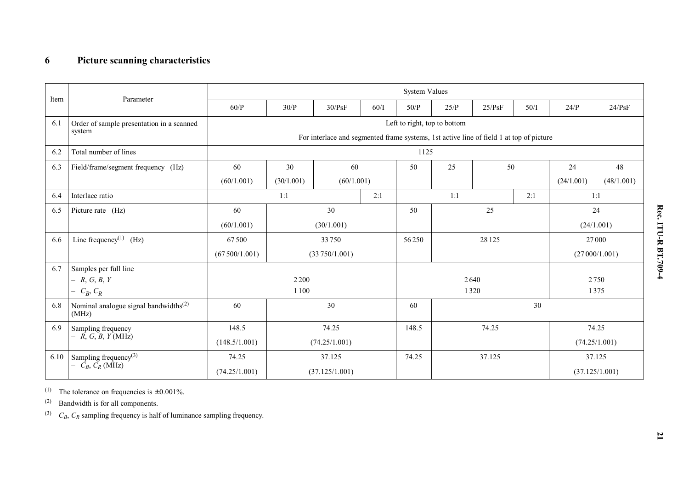|      |                                                            | <b>System Values</b>                                                                    |                        |                |      |                 |                              |            |               |            |                |  |  |  |
|------|------------------------------------------------------------|-----------------------------------------------------------------------------------------|------------------------|----------------|------|-----------------|------------------------------|------------|---------------|------------|----------------|--|--|--|
| Item | Parameter                                                  | 60/P                                                                                    | 30/P                   | 30/PsF         | 60/I | $50/P$          | 25/P                         | 25/PsF     | 50/I          | 24/P       | 24/PsF         |  |  |  |
| 6.1  | Order of sample presentation in a scanned                  |                                                                                         |                        |                |      |                 | Left to right, top to bottom |            |               |            |                |  |  |  |
|      | system                                                     | For interlace and segmented frame systems, 1st active line of field 1 at top of picture |                        |                |      |                 |                              |            |               |            |                |  |  |  |
| 6.2  | Total number of lines                                      |                                                                                         |                        |                |      | 1125            |                              |            |               |            |                |  |  |  |
| 6.3  | Field/frame/segment frequency (Hz)                         | 60                                                                                      | 30<br>60               |                |      | 50              | 25<br>50                     |            |               | 24         | 48             |  |  |  |
|      |                                                            | (60/1.001)                                                                              | (30/1.001)             | (60/1.001)     |      |                 |                              |            |               | (24/1.001) | (48/1.001)     |  |  |  |
| 6.4  | Interlace ratio                                            |                                                                                         | 1:1<br>2:1             |                |      |                 | 1:1<br>2:1                   |            | 1:1           |            |                |  |  |  |
| 6.5  | Picture rate (Hz)                                          | 60                                                                                      | 30                     |                |      | 50              | 25                           |            |               | 24         |                |  |  |  |
|      |                                                            | (60/1.001)                                                                              | (30/1.001)             |                |      |                 |                              |            |               | (24/1.001) |                |  |  |  |
| 6.6  | Line frequency <sup>(1)</sup> (Hz)                         | 67500                                                                                   | 33750<br>(33750/1.001) |                |      | 56250           | 28 1 25                      |            |               | 27000      |                |  |  |  |
|      |                                                            | (67500/1.001)                                                                           |                        |                |      |                 |                              |            | (27000/1.001) |            |                |  |  |  |
| 6.7  | Samples per full line                                      |                                                                                         |                        |                |      |                 |                              |            |               |            |                |  |  |  |
|      | $- R, G, B, Y$                                             |                                                                                         | 2 2 0 0                |                |      |                 | 2640                         | 2750       |               |            |                |  |  |  |
|      | $- C_R, C_R$                                               |                                                                                         | 1100                   |                |      |                 | 1320                         | 1375<br>30 |               |            |                |  |  |  |
| 6.8  | Nominal analogue signal bandwidths <sup>(2)</sup><br>(MHz) | 60                                                                                      |                        | 30             |      | 60              |                              |            |               |            |                |  |  |  |
| 6.9  | Sampling frequency                                         | 148.5                                                                                   |                        | 74.25          |      | 74.25<br>148.5  |                              |            |               | 74.25      |                |  |  |  |
|      | $- R, G, B, Y(MHz)$                                        | (148.5/1.001)                                                                           |                        | (74.25/1.001)  |      |                 |                              |            |               |            | (74.25/1.001)  |  |  |  |
| 6.10 | Sampling frequency <sup>(3)</sup>                          | 74.25                                                                                   |                        | 37.125         |      | 74.25<br>37.125 |                              |            |               |            | 37.125         |  |  |  |
|      | $- C_B, C_R$ (MHz)                                         | (74.25/1.001)                                                                           |                        | (37.125/1.001) |      |                 |                              |            |               |            | (37.125/1.001) |  |  |  |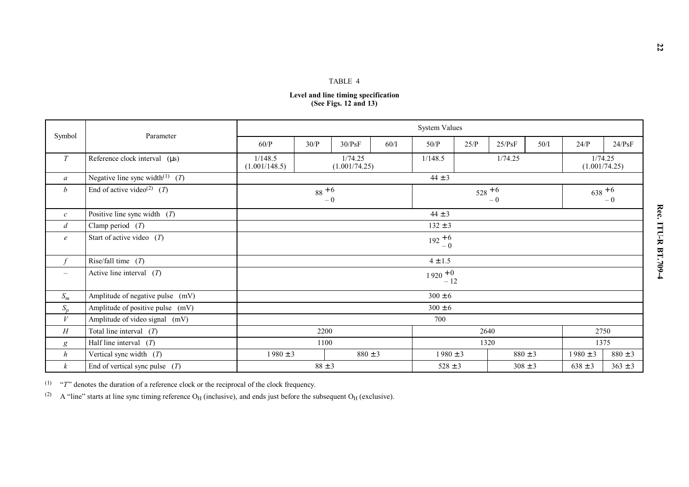|                          |                                                      |                          |            | TABLE 4                                                      |      |                     |      |             |                          |                   |             |  |
|--------------------------|------------------------------------------------------|--------------------------|------------|--------------------------------------------------------------|------|---------------------|------|-------------|--------------------------|-------------------|-------------|--|
|                          |                                                      |                          |            | Level and line timing specification<br>(See Figs. 12 and 13) |      |                     |      |             |                          |                   |             |  |
|                          | <b>System Values</b><br>Parameter                    |                          |            |                                                              |      |                     |      |             |                          |                   |             |  |
| Symbol                   |                                                      | 60/P                     | 30/P       | 30/PsF                                                       | 60/I | 50/P                | 25/P | 25/PsF      | 50/I                     | 24/P              | 24/PsF      |  |
| ${\cal T}$               | Reference clock interval $(\mu s)$                   | 1/148.5<br>(1.001/148.5) |            | 1/74.25<br>(1.001/74.25)                                     |      | 1/148.5             |      |             | 1/74.25<br>(1.001/74.25) |                   |             |  |
| $\mathfrak{a}$           | Negative line sync width <sup>(1)</sup> ( <i>T</i> ) |                          |            |                                                              |      | $44 \pm 3$          |      |             |                          |                   |             |  |
| $\boldsymbol{b}$         | End of active video <sup>(2)</sup> ( <i>T</i> )      |                          | $88 + 6$   | $-0$                                                         |      | $528 + 6$<br>$-0$   |      |             |                          | $638 + 6$<br>$-0$ |             |  |
| $\mathcal{C}$            | Positive line sync width $(T)$                       |                          |            |                                                              |      | $44 \pm 3$          |      |             |                          |                   |             |  |
| $\overline{d}$           | Clamp period $(T)$                                   |                          |            |                                                              |      | $132 \pm 3$         |      |             |                          |                   |             |  |
| $\boldsymbol{e}$         | Start of active video $(T)$                          |                          |            |                                                              |      | $192 + 6$<br>$-0$   |      |             |                          |                   |             |  |
| $\int$                   | Rise/fall time $(T)$                                 |                          |            |                                                              |      | $4 \pm 1.5$         |      |             |                          |                   |             |  |
| $\overline{\phantom{0}}$ | Active line interval $(T)$                           |                          |            |                                                              |      | $1920 + 0$<br>$-12$ |      |             |                          |                   |             |  |
| ${\cal S}_m$             | Amplitude of negative pulse (mV)                     |                          |            |                                                              |      | $300 \pm 6$         |      |             |                          |                   |             |  |
| $S_p$                    | Amplitude of positive pulse (mV)                     |                          |            |                                                              |      | $300 \pm 6$         |      |             |                          |                   |             |  |
| $\boldsymbol{V}$         | Amplitude of video signal (mV)                       |                          |            |                                                              |      | 700                 |      |             |                          |                   |             |  |
| H                        | Total line interval $(T)$                            |                          | 2200       |                                                              |      |                     |      | 2640        |                          |                   | 2750        |  |
| g                        | Half line interval $(T)$                             |                          | 1100       |                                                              |      |                     |      | 1320        |                          |                   | 1375        |  |
| $\boldsymbol{h}$         | Vertical sync width $(T)$                            | $1980 \pm 3$             |            | $880 \pm 3$                                                  |      | $1980 \pm 3$        |      | $880 \pm 3$ |                          | $1980 \pm 3$      | $880 \pm 3$ |  |
| $\boldsymbol{k}$         | End of vertical sync pulse $(T)$                     |                          | $88 \pm 3$ |                                                              |      | $528 \pm 3$         |      | $308 \pm 3$ |                          | $638 \pm 3$       | $363 \pm 3$ |  |

(1) "*T*" denotes the duration of a reference clock or the reciprocal of the clock frequency.

(2) A "line" starts at line sync timing reference  $O_H$  (inclusive), and ends just before the subsequent  $O_H$  (exclusive).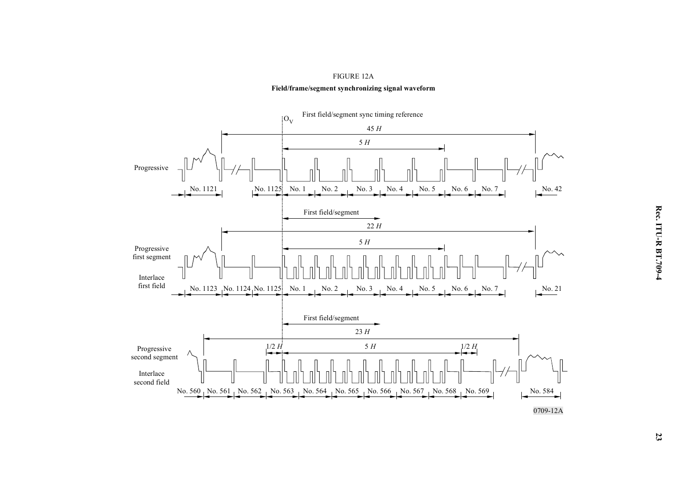

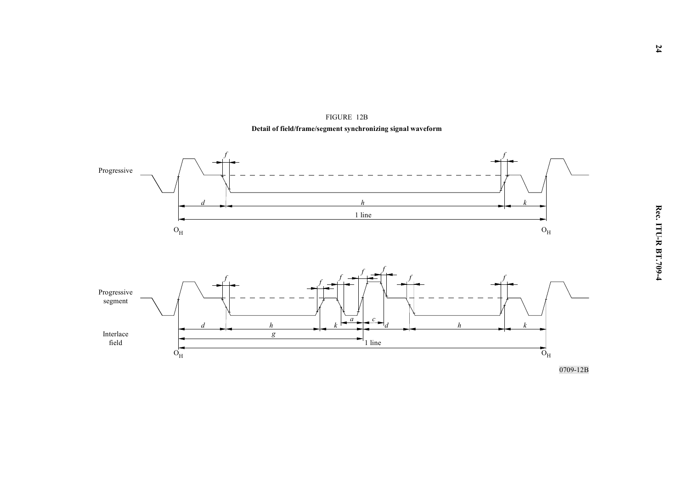

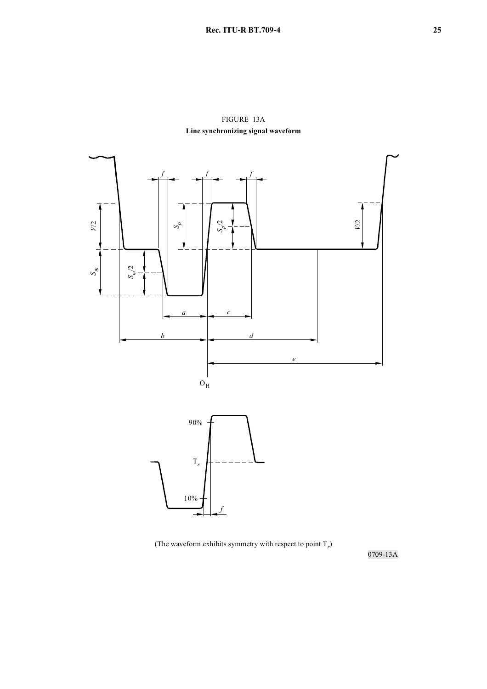FIGURE 13A **Line synchronizing signal waveform** 



(The waveform exhibits symmetry with respect to point  $T_r$ )

0709-13A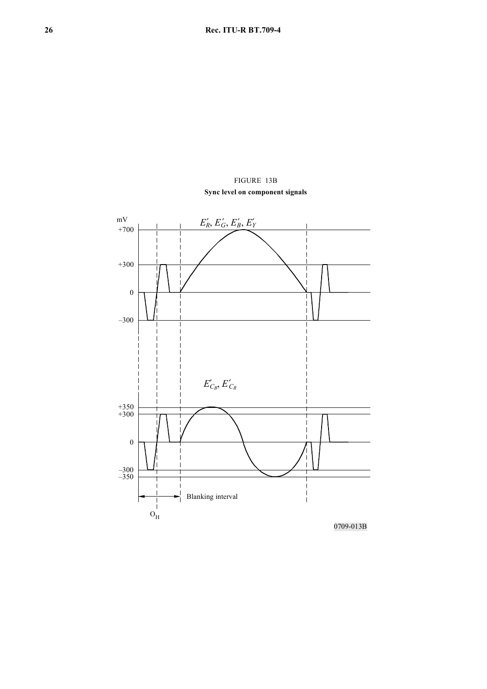# FIGURE 13B **Sync level on component signals**



0709-013B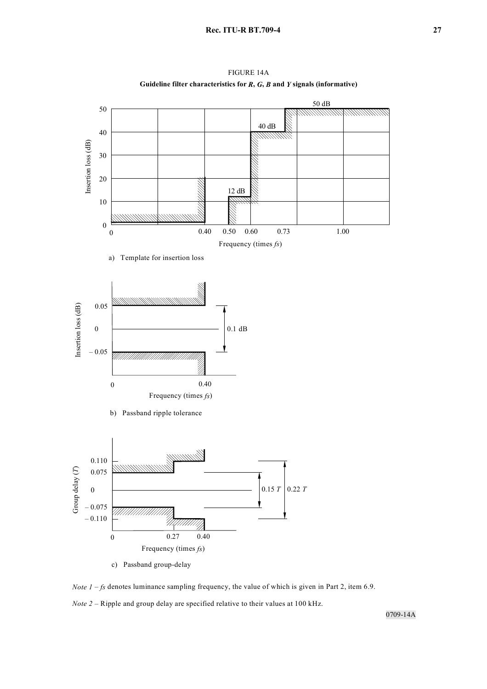

FIGURE 14A **Guideline filter characteristics for** *R***,** *G***,** *B* **and** *Y* **signals (informative)**

*Note 1* – *fs* denotes luminance sampling frequency, the value of which is given in Part 2, item 6.9. *Note 2* – Ripple and group delay are specified relative to their values at 100 kHz.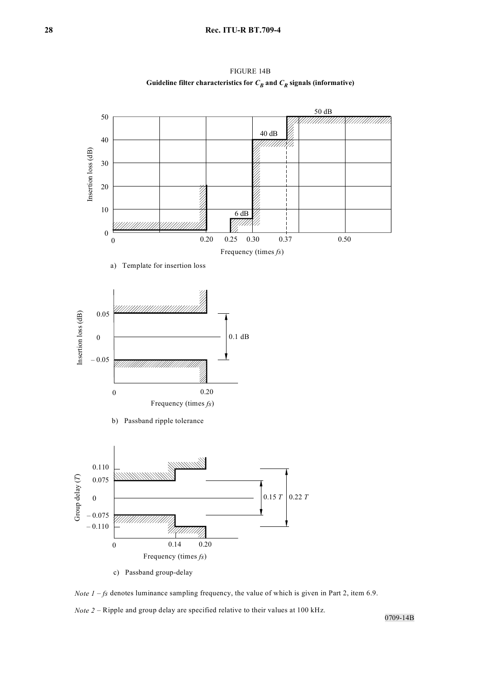

FIGURE 14B Guideline filter characteristics for  $C_B$  and  $C_R$  signals (informative)

*Note 1* – *fs* denotes luminance sampling frequency, the value of which is given in Part 2, item 6.9. *Note 2* – Ripple and group delay are specified relative to their values at 100 kHz.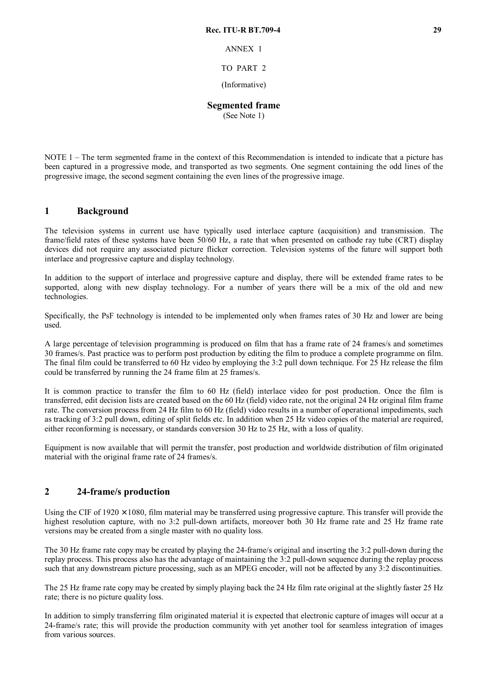ANNEX 1

## TO PART 2

(Informative)

## **Segmented frame**

(See Note 1)

NOTE 1 – The term segmented frame in the context of this Recommendation is intended to indicate that a picture has been captured in a progressive mode, and transported as two segments. One segment containing the odd lines of the progressive image, the second segment containing the even lines of the progressive image.

## **1 Background**

The television systems in current use have typically used interlace capture (acquisition) and transmission. The frame/field rates of these systems have been 50/60 Hz, a rate that when presented on cathode ray tube (CRT) display devices did not require any associated picture flicker correction. Television systems of the future will support both interlace and progressive capture and display technology.

In addition to the support of interlace and progressive capture and display, there will be extended frame rates to be supported, along with new display technology. For a number of years there will be a mix of the old and new technologies.

Specifically, the PsF technology is intended to be implemented only when frames rates of 30 Hz and lower are being used.

A large percentage of television programming is produced on film that has a frame rate of 24 frames/s and sometimes 30 frames/s. Past practice was to perform post production by editing the film to produce a complete programme on film. The final film could be transferred to 60 Hz video by employing the 3:2 pull down technique. For 25 Hz release the film could be transferred by running the 24 frame film at 25 frames/s.

It is common practice to transfer the film to 60 Hz (field) interlace video for post production. Once the film is transferred, edit decision lists are created based on the 60 Hz (field) video rate, not the original 24 Hz original film frame rate. The conversion process from 24 Hz film to 60 Hz (field) video results in a number of operational impediments, such as tracking of 3:2 pull down, editing of split fields etc. In addition when 25 Hz video copies of the material are required, either reconforming is necessary, or standards conversion 30 Hz to 25 Hz, with a loss of quality.

Equipment is now available that will permit the transfer, post production and worldwide distribution of film originated material with the original frame rate of 24 frames/s.

## **2 24-frame/s production**

Using the CIF of  $1920 \times 1080$ , film material may be transferred using progressive capture. This transfer will provide the highest resolution capture, with no 3:2 pull-down artifacts, moreover both 30 Hz frame rate and 25 Hz frame rate versions may be created from a single master with no quality loss.

The 30 Hz frame rate copy may be created by playing the 24-frame/s original and inserting the 3:2 pull-down during the replay process. This process also has the advantage of maintaining the 3:2 pull-down sequence during the replay process such that any downstream picture processing, such as an MPEG encoder, will not be affected by any 3:2 discontinuities.

The 25 Hz frame rate copy may be created by simply playing back the 24 Hz film rate original at the slightly faster 25 Hz rate; there is no picture quality loss.

In addition to simply transferring film originated material it is expected that electronic capture of images will occur at a 24-frame/s rate; this will provide the production community with yet another tool for seamless integration of images from various sources.